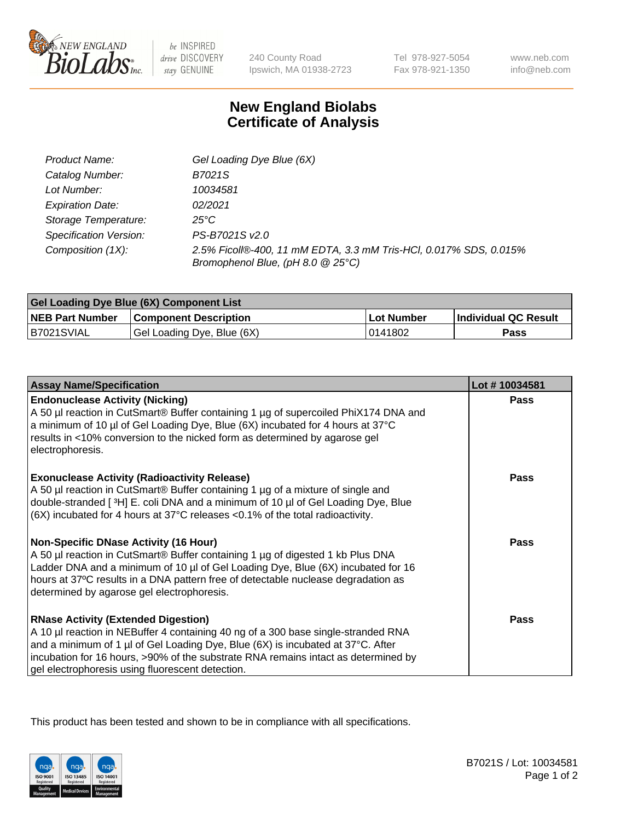

 $be$  INSPIRED drive DISCOVERY stay GENUINE

240 County Road Ipswich, MA 01938-2723 Tel 978-927-5054 Fax 978-921-1350 www.neb.com info@neb.com

## **New England Biolabs Certificate of Analysis**

| Product Name:           | Gel Loading Dye Blue (6X)                                                                              |
|-------------------------|--------------------------------------------------------------------------------------------------------|
| Catalog Number:         | B7021S                                                                                                 |
| Lot Number:             | 10034581                                                                                               |
| <b>Expiration Date:</b> | 02/2021                                                                                                |
| Storage Temperature:    | 25°C                                                                                                   |
| Specification Version:  | PS-B7021S v2.0                                                                                         |
| Composition (1X):       | 2.5% Ficoll®-400, 11 mM EDTA, 3.3 mM Tris-HCl, 0.017% SDS, 0.015%<br>Bromophenol Blue, (pH 8.0 @ 25°C) |

| Gel Loading Dye Blue (6X) Component List |                              |            |                      |  |
|------------------------------------------|------------------------------|------------|----------------------|--|
| <b>NEB Part Number</b>                   | <b>Component Description</b> | Lot Number | Individual QC Result |  |
| B7021SVIAL                               | Gel Loading Dye, Blue (6X)   | 10141802   | Pass                 |  |

| <b>Assay Name/Specification</b>                                                                                                                                                                                                                                                                                                                              | Lot #10034581 |
|--------------------------------------------------------------------------------------------------------------------------------------------------------------------------------------------------------------------------------------------------------------------------------------------------------------------------------------------------------------|---------------|
| <b>Endonuclease Activity (Nicking)</b><br>A 50 µl reaction in CutSmart® Buffer containing 1 µg of supercoiled PhiX174 DNA and<br>a minimum of 10 µl of Gel Loading Dye, Blue (6X) incubated for 4 hours at 37°C<br>results in <10% conversion to the nicked form as determined by agarose gel<br>electrophoresis.                                            | <b>Pass</b>   |
| <b>Exonuclease Activity (Radioactivity Release)</b><br>A 50 µl reaction in CutSmart® Buffer containing 1 µg of a mixture of single and<br>double-stranded [3H] E. coli DNA and a minimum of 10 µl of Gel Loading Dye, Blue<br>(6X) incubated for 4 hours at 37°C releases <0.1% of the total radioactivity.                                                  | <b>Pass</b>   |
| <b>Non-Specific DNase Activity (16 Hour)</b><br>A 50 µl reaction in CutSmart® Buffer containing 1 µg of digested 1 kb Plus DNA<br>Ladder DNA and a minimum of 10 µl of Gel Loading Dye, Blue (6X) incubated for 16<br>hours at 37°C results in a DNA pattern free of detectable nuclease degradation as<br>determined by agarose gel electrophoresis.        | <b>Pass</b>   |
| <b>RNase Activity (Extended Digestion)</b><br>A 10 µl reaction in NEBuffer 4 containing 40 ng of a 300 base single-stranded RNA<br>and a minimum of 1 µl of Gel Loading Dye, Blue (6X) is incubated at 37°C. After<br>incubation for 16 hours, >90% of the substrate RNA remains intact as determined by<br>gel electrophoresis using fluorescent detection. | <b>Pass</b>   |

This product has been tested and shown to be in compliance with all specifications.